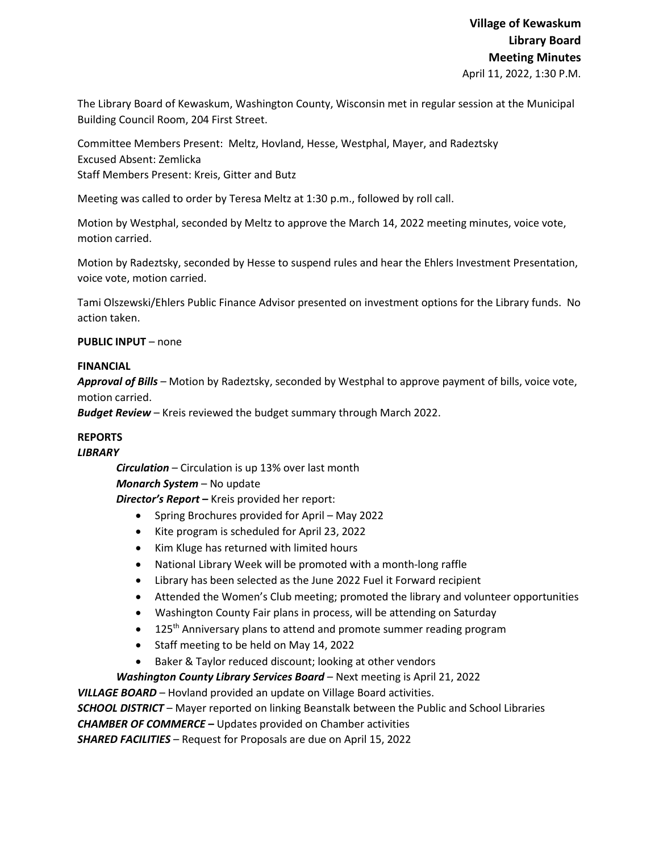The Library Board of Kewaskum, Washington County, Wisconsin met in regular session at the Municipal Building Council Room, 204 First Street.

Committee Members Present: Meltz, Hovland, Hesse, Westphal, Mayer, and Radeztsky Excused Absent: Zemlicka Staff Members Present: Kreis, Gitter and Butz

Meeting was called to order by Teresa Meltz at 1:30 p.m., followed by roll call.

Motion by Westphal, seconded by Meltz to approve the March 14, 2022 meeting minutes, voice vote, motion carried.

Motion by Radeztsky, seconded by Hesse to suspend rules and hear the Ehlers Investment Presentation, voice vote, motion carried.

Tami Olszewski/Ehlers Public Finance Advisor presented on investment options for the Library funds. No action taken.

# **PUBLIC INPUT** – none

## **FINANCIAL**

*Approval of Bills –* Motion by Radeztsky, seconded by Westphal to approve payment of bills, voice vote, motion carried.

*Budget Review* – Kreis reviewed the budget summary through March 2022.

## **REPORTS**

## *LIBRARY*

*Circulation* – Circulation is up 13% over last month *Monarch System* – No update

*Director's Report* **–** Kreis provided her report:

- Spring Brochures provided for April May 2022
- Kite program is scheduled for April 23, 2022
- Kim Kluge has returned with limited hours
- National Library Week will be promoted with a month-long raffle
- Library has been selected as the June 2022 Fuel it Forward recipient
- Attended the Women's Club meeting; promoted the library and volunteer opportunities
- Washington County Fair plans in process, will be attending on Saturday
- $\bullet$  125<sup>th</sup> Anniversary plans to attend and promote summer reading program
- Staff meeting to be held on May 14, 2022
- Baker & Taylor reduced discount; looking at other vendors

*Washington County Library Services Board* – Next meeting is April 21, 2022

*VILLAGE BOARD* – Hovland provided an update on Village Board activities.

*SCHOOL DISTRICT* – Mayer reported on linking Beanstalk between the Public and School Libraries *CHAMBER OF COMMERCE –* Updates provided on Chamber activities

*SHARED FACILITIES –* Request for Proposals are due on April 15, 2022